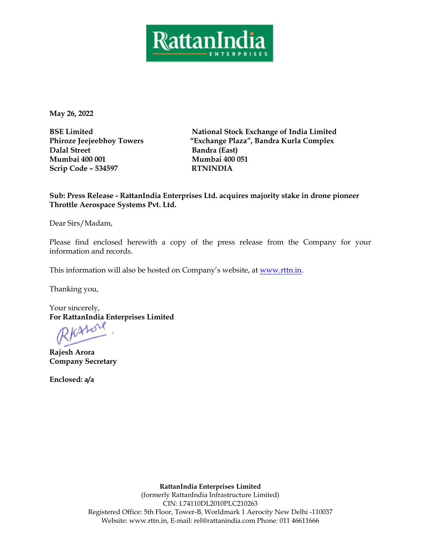

**May 26, 2022**

**BSE Limited Phiroze Jeejeebhoy Towers Dalal Street Mumbai 400 001 Scrip Code – 534597 RTNINDIA** 

**National Stock Exchange of India Limited "Exchange Plaza", Bandra Kurla Complex Bandra (East) Mumbai 400 051**

**Sub: Press Release - RattanIndia Enterprises Ltd. acquires majority stake in drone pioneer Throttle Aerospace Systems Pvt. Ltd.**

Dear Sirs/Madam,

Please find enclosed herewith a copy of the press release from the Company for your information and records.

This information will also be hosted on Company's website, at [www.rttn.in.](http://www.rttn.in/)

Thanking you,

Your sincerely, For RattanIndia Enterprises Limited<br> *PKASU* 

**Rajesh Arora Company Secretary** 

**Enclosed: a/a** 

**RattanIndia Enterprises Limited**

(formerly RattanIndia Infrastructure Limited) CIN: L74110DL2010PLC210263 Registered Office: 5th Floor, Tower-B, Worldmark 1 Aerocity New Delhi -110037 Website: www.rttn.in, E-mail: [rel@rattanindia.com](mailto:rel@rattanindia.com) Phone: 011 46611666